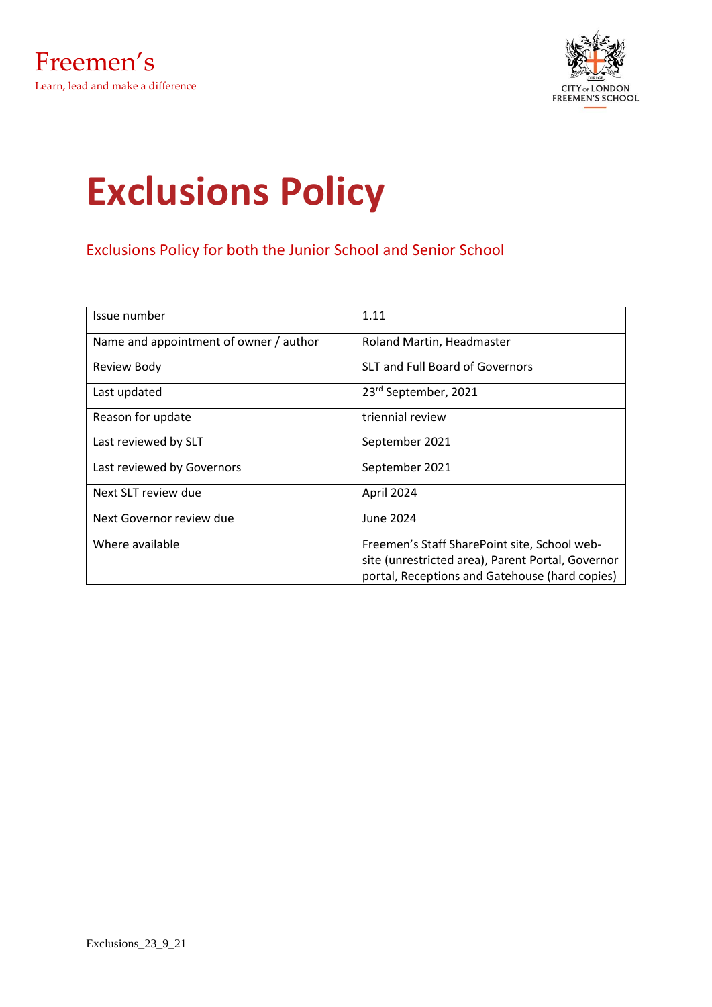

# **Exclusions Policy**

Exclusions Policy for both the Junior School and Senior School

| Issue number                           | 1.11                                              |
|----------------------------------------|---------------------------------------------------|
| Name and appointment of owner / author | Roland Martin, Headmaster                         |
| Review Body                            | SLT and Full Board of Governors                   |
| Last updated                           | 23 <sup>rd</sup> September, 2021                  |
| Reason for update                      | triennial review                                  |
| Last reviewed by SLT                   | September 2021                                    |
| Last reviewed by Governors             | September 2021                                    |
| Next SLT review due                    | April 2024                                        |
| Next Governor review due               | June 2024                                         |
| Where available                        | Freemen's Staff SharePoint site, School web-      |
|                                        | site (unrestricted area), Parent Portal, Governor |
|                                        | portal, Receptions and Gatehouse (hard copies)    |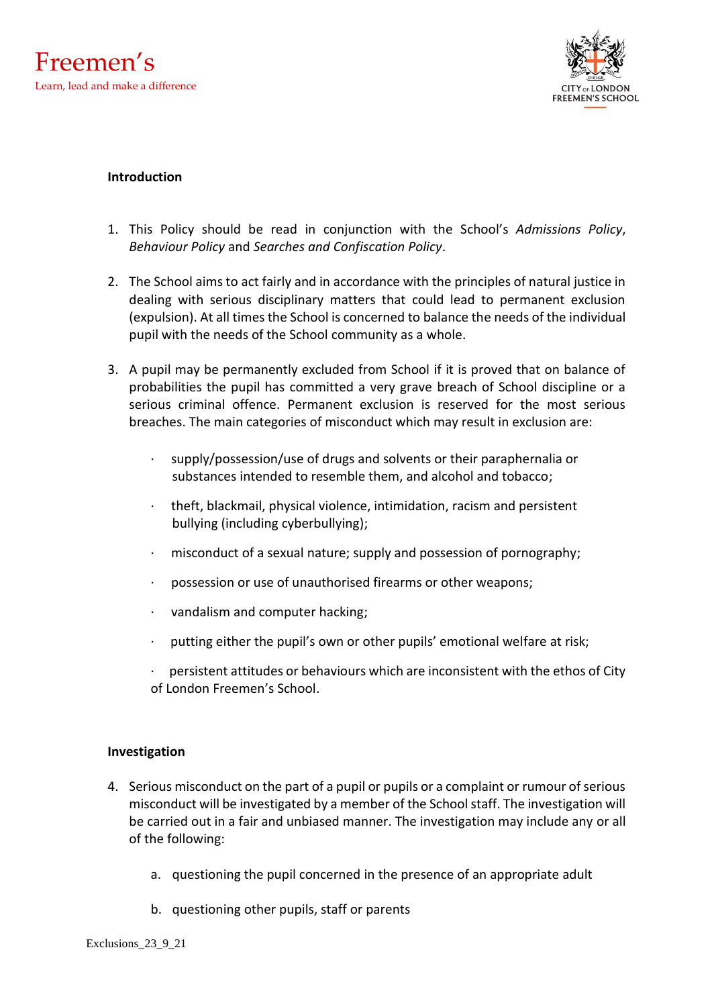

### **Introduction**

- 1. This Policy should be read in conjunction with the School's *Admissions Policy*, *Behaviour Policy* and *Searches and Confiscation Policy*.
- 2. The School aims to act fairly and in accordance with the principles of natural justice in dealing with serious disciplinary matters that could lead to permanent exclusion (expulsion). At all times the School is concerned to balance the needs of the individual pupil with the needs of the School community as a whole.
- 3. A pupil may be permanently excluded from School if it is proved that on balance of probabilities the pupil has committed a very grave breach of School discipline or a serious criminal offence. Permanent exclusion is reserved for the most serious breaches. The main categories of misconduct which may result in exclusion are:
	- · supply/possession/use of drugs and solvents or their paraphernalia or substances intended to resemble them, and alcohol and tobacco;
	- · theft, blackmail, physical violence, intimidation, racism and persistent bullying (including cyberbullying);
	- misconduct of a sexual nature; supply and possession of pornography;
	- possession or use of unauthorised firearms or other weapons;
	- · vandalism and computer hacking;
	- putting either the pupil's own or other pupils' emotional welfare at risk;
	- persistent attitudes or behaviours which are inconsistent with the ethos of City of London Freemen's School.

### **Investigation**

- 4. Serious misconduct on the part of a pupil or pupils or a complaint or rumour of serious misconduct will be investigated by a member of the School staff. The investigation will be carried out in a fair and unbiased manner. The investigation may include any or all of the following:
	- a. questioning the pupil concerned in the presence of an appropriate adult
	- b. questioning other pupils, staff or parents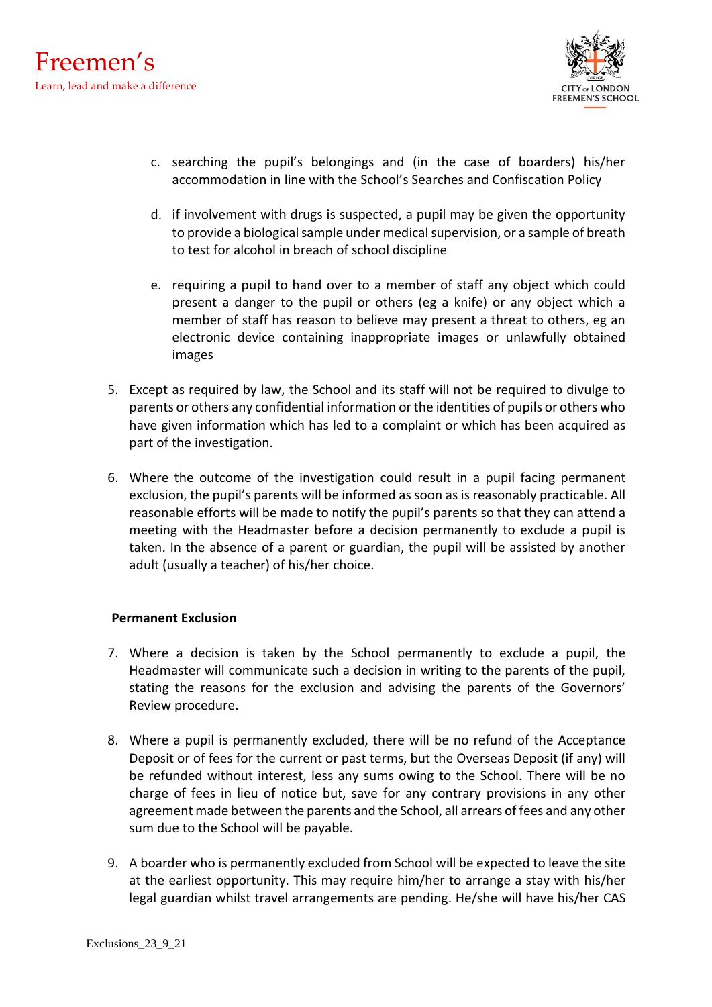

- c. searching the pupil's belongings and (in the case of boarders) his/her accommodation in line with the School's Searches and Confiscation Policy
- d. if involvement with drugs is suspected, a pupil may be given the opportunity to provide a biological sample under medical supervision, or a sample of breath to test for alcohol in breach of school discipline
- e. requiring a pupil to hand over to a member of staff any object which could present a danger to the pupil or others (eg a knife) or any object which a member of staff has reason to believe may present a threat to others, eg an electronic device containing inappropriate images or unlawfully obtained images
- 5. Except as required by law, the School and its staff will not be required to divulge to parents or others any confidential information or the identities of pupils or others who have given information which has led to a complaint or which has been acquired as part of the investigation.
- 6. Where the outcome of the investigation could result in a pupil facing permanent exclusion, the pupil's parents will be informed as soon as is reasonably practicable. All reasonable efforts will be made to notify the pupil's parents so that they can attend a meeting with the Headmaster before a decision permanently to exclude a pupil is taken. In the absence of a parent or guardian, the pupil will be assisted by another adult (usually a teacher) of his/her choice.

## **Permanent Exclusion**

- 7. Where a decision is taken by the School permanently to exclude a pupil, the Headmaster will communicate such a decision in writing to the parents of the pupil, stating the reasons for the exclusion and advising the parents of the Governors' Review procedure.
- 8. Where a pupil is permanently excluded, there will be no refund of the Acceptance Deposit or of fees for the current or past terms, but the Overseas Deposit (if any) will be refunded without interest, less any sums owing to the School. There will be no charge of fees in lieu of notice but, save for any contrary provisions in any other agreement made between the parents and the School, all arrears of fees and any other sum due to the School will be payable.
- 9. A boarder who is permanently excluded from School will be expected to leave the site at the earliest opportunity. This may require him/her to arrange a stay with his/her legal guardian whilst travel arrangements are pending. He/she will have his/her CAS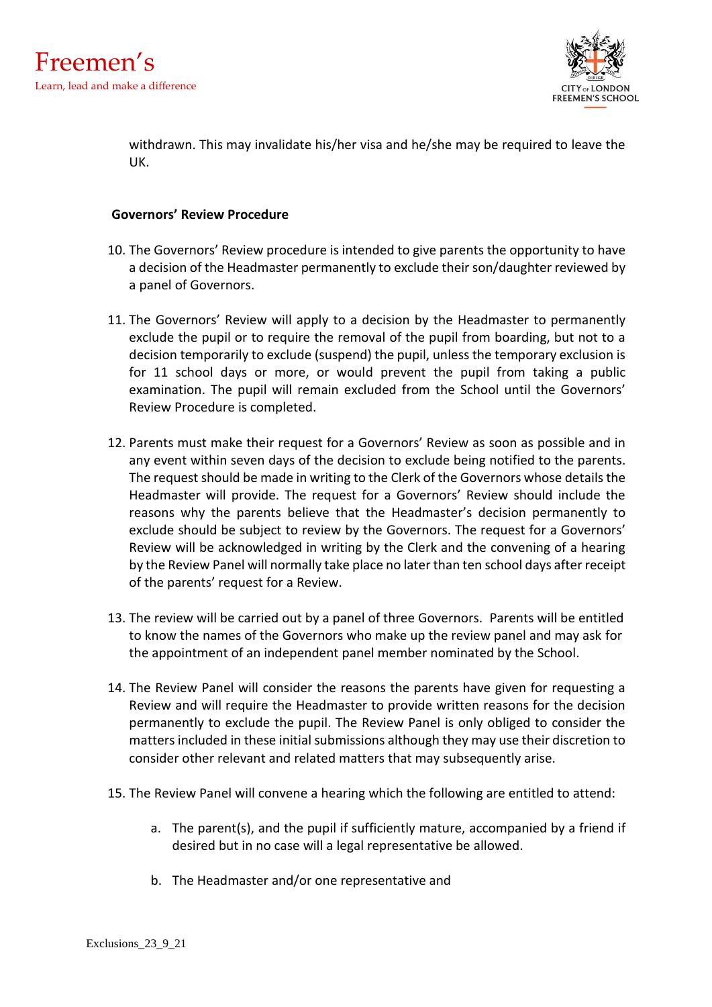

withdrawn. This may invalidate his/her visa and he/she may be required to leave the UK.

### **Governors' Review Procedure**

- 10. The Governors' Review procedure is intended to give parents the opportunity to have a decision of the Headmaster permanently to exclude their son/daughter reviewed by a panel of Governors.
- 11. The Governors' Review will apply to a decision by the Headmaster to permanently exclude the pupil or to require the removal of the pupil from boarding, but not to a decision temporarily to exclude (suspend) the pupil, unless the temporary exclusion is for 11 school days or more, or would prevent the pupil from taking a public examination. The pupil will remain excluded from the School until the Governors' Review Procedure is completed.
- 12. Parents must make their request for a Governors' Review as soon as possible and in any event within seven days of the decision to exclude being notified to the parents. The request should be made in writing to the Clerk of the Governors whose details the Headmaster will provide. The request for a Governors' Review should include the reasons why the parents believe that the Headmaster's decision permanently to exclude should be subject to review by the Governors. The request for a Governors' Review will be acknowledged in writing by the Clerk and the convening of a hearing by the Review Panel will normally take place no later than ten school days after receipt of the parents' request for a Review.
- 13. The review will be carried out by a panel of three Governors. Parents will be entitled to know the names of the Governors who make up the review panel and may ask for the appointment of an independent panel member nominated by the School.
- 14. The Review Panel will consider the reasons the parents have given for requesting a Review and will require the Headmaster to provide written reasons for the decision permanently to exclude the pupil. The Review Panel is only obliged to consider the matters included in these initial submissions although they may use their discretion to consider other relevant and related matters that may subsequently arise.
- 15. The Review Panel will convene a hearing which the following are entitled to attend:
	- a. The parent(s), and the pupil if sufficiently mature, accompanied by a friend if desired but in no case will a legal representative be allowed.
	- b. The Headmaster and/or one representative and